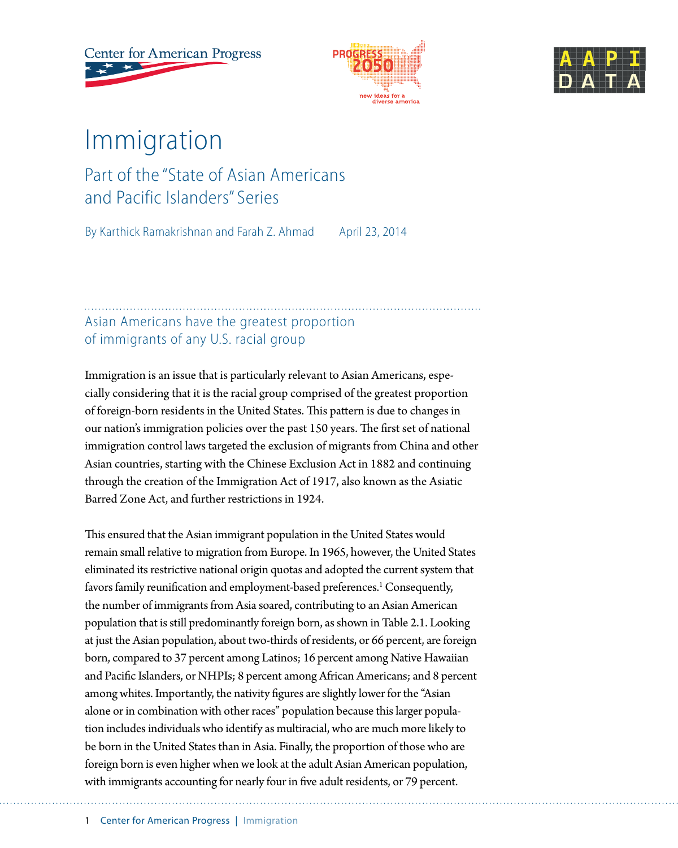**Center for American Progress** 





# Immigration

# Part of the "State of Asian Americans and Pacific Islanders" Series

By Karthick Ramakrishnan and Farah Z. Ahmad April 23, 2014

### Asian Americans have the greatest proportion of immigrants of any U.S. racial group

Immigration is an issue that is particularly relevant to Asian Americans, especially considering that it is the racial group comprised of the greatest proportion of foreign-born residents in the United States. This pattern is due to changes in our nation's immigration policies over the past 150 years. The first set of national immigration control laws targeted the exclusion of migrants from China and other Asian countries, starting with the Chinese Exclusion Act in 1882 and continuing through the creation of the Immigration Act of 1917, also known as the Asiatic Barred Zone Act, and further restrictions in 1924.

This ensured that the Asian immigrant population in the United States would remain small relative to migration from Europe. In 1965, however, the United States eliminated its restrictive national origin quotas and adopted the current system that favors family reunification and employment-based preferences.<sup>1</sup> Consequently, the number of immigrants from Asia soared, contributing to an Asian American population that is still predominantly foreign born, as shown in Table 2.1. Looking at just the Asian population, about two-thirds of residents, or 66 percent, are foreign born, compared to 37 percent among Latinos; 16 percent among Native Hawaiian and Pacific Islanders, or NHPIs; 8 percent among African Americans; and 8 percent among whites. Importantly, the nativity figures are slightly lower for the "Asian alone or in combination with other races" population because this larger population includes individuals who identify as multiracial, who are much more likely to be born in the United States than in Asia. Finally, the proportion of those who are foreign born is even higher when we look at the adult Asian American population, with immigrants accounting for nearly four in five adult residents, or 79 percent.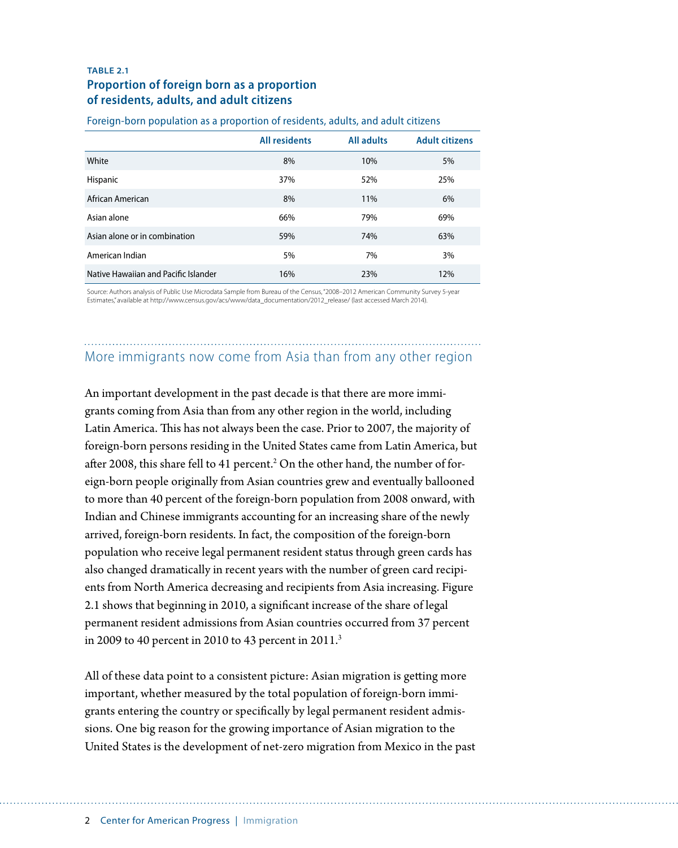#### **TABLE 2.1 Proportion of foreign born as a proportion of residents, adults, and adult citizens**

|                                      | <b>All residents</b> | <b>All adults</b> | <b>Adult citizens</b> |
|--------------------------------------|----------------------|-------------------|-----------------------|
| White                                | 8%                   | 10%               | 5%                    |
| Hispanic                             | 37%                  | 52%               | 25%                   |
| African American                     | 8%                   | 11%               | 6%                    |
| Asian alone                          | 66%                  | 79%               | 69%                   |
| Asian alone or in combination        | 59%                  | 74%               | 63%                   |
| American Indian                      | 5%                   | 7%                | 3%                    |
| Native Hawaiian and Pacific Islander | 16%                  | 23%               | 12%                   |

Foreign-born population as a proportion of residents, adults, and adult citizens

Source: Authors analysis of Public Use Microdata Sample from Bureau of the Census, "2008–2012 American Community Survey 5-year Estimates," available at http://www.census.gov/acs/www/data\_documentation/2012\_release/ (last accessed March 2014).

### More immigrants now come from Asia than from any other region

An important development in the past decade is that there are more immigrants coming from Asia than from any other region in the world, including Latin America. This has not always been the case. Prior to 2007, the majority of foreign-born persons residing in the United States came from Latin America, but after 2008, this share fell to 41 percent. $^2$  On the other hand, the number of foreign-born people originally from Asian countries grew and eventually ballooned to more than 40 percent of the foreign-born population from 2008 onward, with Indian and Chinese immigrants accounting for an increasing share of the newly arrived, foreign-born residents. In fact, the composition of the foreign-born population who receive legal permanent resident status through green cards has also changed dramatically in recent years with the number of green card recipients from North America decreasing and recipients from Asia increasing. Figure 2.1 shows that beginning in 2010, a significant increase of the share of legal permanent resident admissions from Asian countries occurred from 37 percent in 2009 to 40 percent in 2010 to 43 percent in 2011.3

All of these data point to a consistent picture: Asian migration is getting more important, whether measured by the total population of foreign-born immigrants entering the country or specifically by legal permanent resident admissions. One big reason for the growing importance of Asian migration to the United States is the development of net-zero migration from Mexico in the past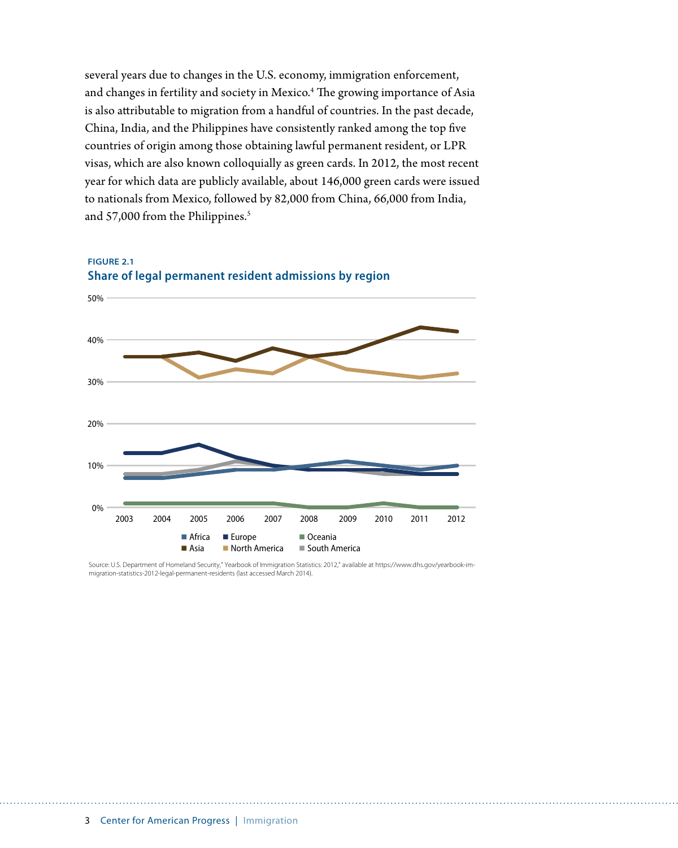several years due to changes in the U.S. economy, immigration enforcement, and changes in fertility and society in Mexico.<sup>4</sup> The growing importance of Asia is also attributable to migration from a handful of countries. In the past decade, China, India, and the Philippines have consistently ranked among the top five countries of origin among those obtaining lawful permanent resident, or LPR visas, which are also known colloquially as green cards. In 2012, the most recent year for which data are publicly available, about 146,000 green cards were issued to nationals from Mexico, followed by 82,000 from China, 66,000 from India, and 57,000 from the Philippines.<sup>5</sup>



**FIGURE 2.1 Share of legal permanent resident admissions by region**

Source: U.S. Department of Homeland Security," Yearbook of Immigration Statistics: 2012," available at https://www.dhs.gov/yearbook-immigration-statistics-2012-legal-permanent-residents (last accessed March 2014).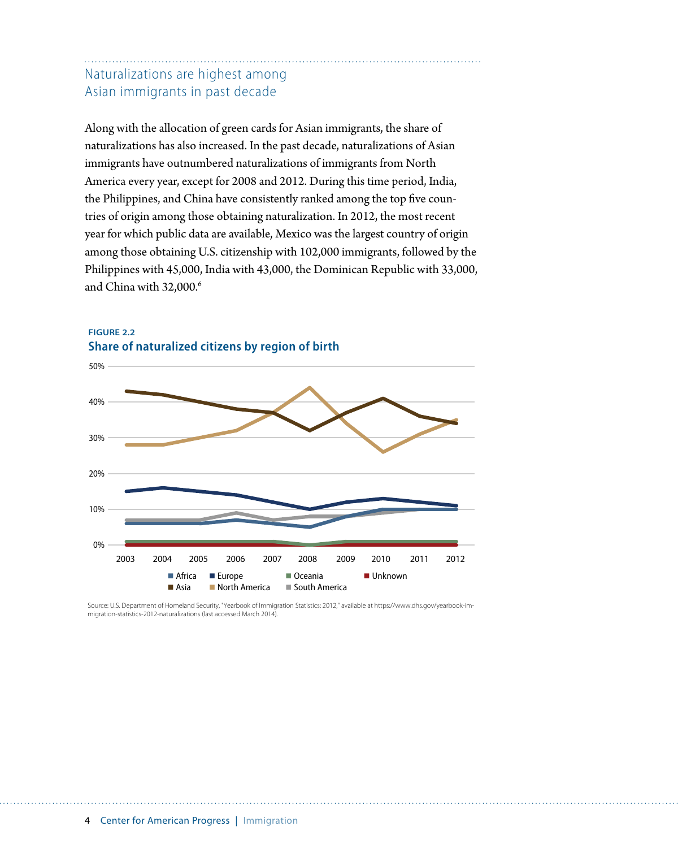### Naturalizations are highest among Asian immigrants in past decade

Along with the allocation of green cards for Asian immigrants, the share of naturalizations has also increased. In the past decade, naturalizations of Asian immigrants have outnumbered naturalizations of immigrants from North America every year, except for 2008 and 2012. During this time period, India, the Philippines, and China have consistently ranked among the top five countries of origin among those obtaining naturalization. In 2012, the most recent year for which public data are available, Mexico was the largest country of origin among those obtaining U.S. citizenship with 102,000 immigrants, followed by the Philippines with 45,000, India with 43,000, the Dominican Republic with 33,000, and China with 32,000.<sup>6</sup>



**FIGURE 2.2 Share of naturalized citizens by region of birth**

Source: U.S. Department of Homeland Security, "Yearbook of Immigration Statistics: 2012," available at https://www.dhs.gov/yearbook-immigration-statistics-2012-naturalizations (last accessed March 2014).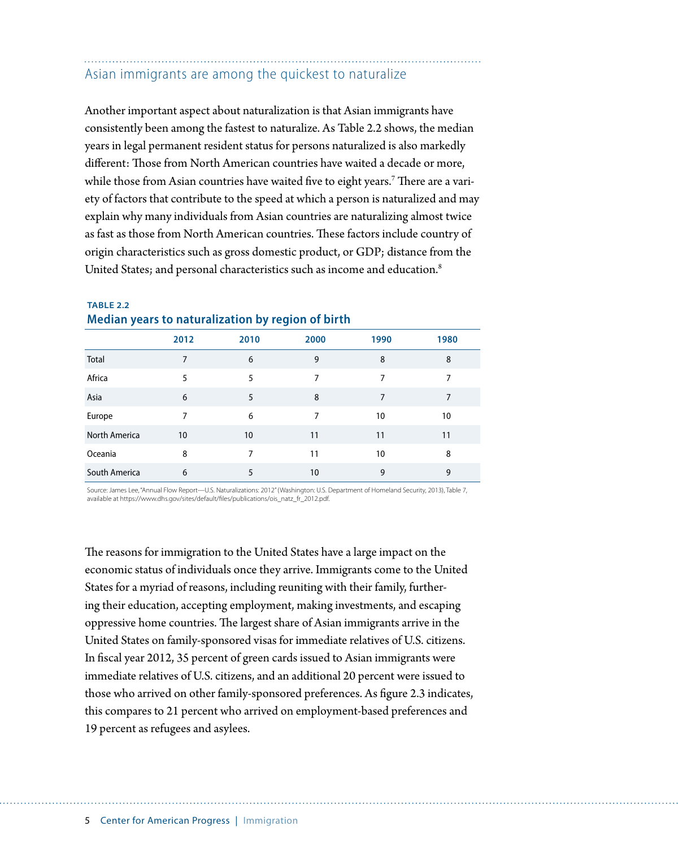# Asian immigrants are among the quickest to naturalize

Another important aspect about naturalization is that Asian immigrants have consistently been among the fastest to naturalize. As Table 2.2 shows, the median years in legal permanent resident status for persons naturalized is also markedly different: Those from North American countries have waited a decade or more, while those from Asian countries have waited five to eight years. $^7$  There are a variety of factors that contribute to the speed at which a person is naturalized and may explain why many individuals from Asian countries are naturalizing almost twice as fast as those from North American countries. These factors include country of origin characteristics such as gross domestic product, or GDP; distance from the United States; and personal characteristics such as income and education.<sup>8</sup>

| 2012<br>2010<br>2000<br>1990<br>1980<br>Total<br>8<br>6<br>9<br>8<br>7<br>Africa<br>5<br>5<br>7<br>7<br>7<br>Asia<br>6<br>5<br>8<br>7<br>7<br>Europe<br>7<br>7<br>6<br>10<br>10<br>North America<br>10<br>11<br>10<br>11<br>11<br>Oceania<br>8<br>8<br>10<br>7<br>11<br>South America<br>9<br>9<br>6<br>5<br>10 |  |  |  |
|-----------------------------------------------------------------------------------------------------------------------------------------------------------------------------------------------------------------------------------------------------------------------------------------------------------------|--|--|--|
|                                                                                                                                                                                                                                                                                                                 |  |  |  |
|                                                                                                                                                                                                                                                                                                                 |  |  |  |
|                                                                                                                                                                                                                                                                                                                 |  |  |  |
|                                                                                                                                                                                                                                                                                                                 |  |  |  |
|                                                                                                                                                                                                                                                                                                                 |  |  |  |
|                                                                                                                                                                                                                                                                                                                 |  |  |  |
|                                                                                                                                                                                                                                                                                                                 |  |  |  |
|                                                                                                                                                                                                                                                                                                                 |  |  |  |

#### **TABLE 2.2 Median years to naturalization by region of birth**

Source: James Lee, "Annual Flow Report—U.S. Naturalizations: 2012" (Washington: U.S. Department of Homeland Security, 2013), Table 7, available at https://www.dhs.gov/sites/default/files/publications/ois\_natz\_fr\_2012.pdf.

The reasons for immigration to the United States have a large impact on the economic status of individuals once they arrive. Immigrants come to the United States for a myriad of reasons, including reuniting with their family, furthering their education, accepting employment, making investments, and escaping oppressive home countries. The largest share of Asian immigrants arrive in the United States on family-sponsored visas for immediate relatives of U.S. citizens. In fiscal year 2012, 35 percent of green cards issued to Asian immigrants were immediate relatives of U.S. citizens, and an additional 20 percent were issued to those who arrived on other family-sponsored preferences. As figure 2.3 indicates, this compares to 21 percent who arrived on employment-based preferences and 19 percent as refugees and asylees.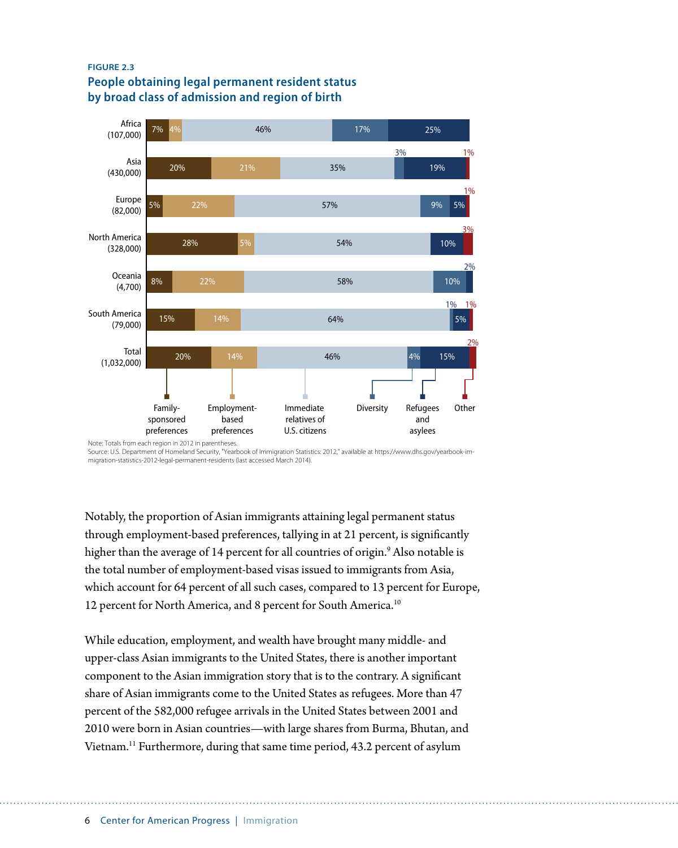#### **FIGURE 2.3 People obtaining legal permanent resident status by broad class of admission and region of birth**



Note: Totals from each region in 2012 in parentheses. Source: U.S. Department of Homeland Security, "Yearbook of Immigration Statistics: 2012," available at https://www.dhs.gov/yearbook-immigration-statistics-2012-legal-permanent-residents (last accessed March 2014).

Notably, the proportion of Asian immigrants attaining legal permanent status through employment-based preferences, tallying in at 21 percent, is significantly higher than the average of 14 percent for all countries of origin.9 Also notable is the total number of employment-based visas issued to immigrants from Asia, which account for 64 percent of all such cases, compared to 13 percent for Europe, 12 percent for North America, and 8 percent for South America.<sup>10</sup>

While education, employment, and wealth have brought many middle- and upper-class Asian immigrants to the United States, there is another important component to the Asian immigration story that is to the contrary. A significant share of Asian immigrants come to the United States as refugees. More than 47 percent of the 582,000 refugee arrivals in the United States between 2001 and 2010 were born in Asian countries—with large shares from Burma, Bhutan, and Vietnam.11 Furthermore, during that same time period, 43.2 percent of asylum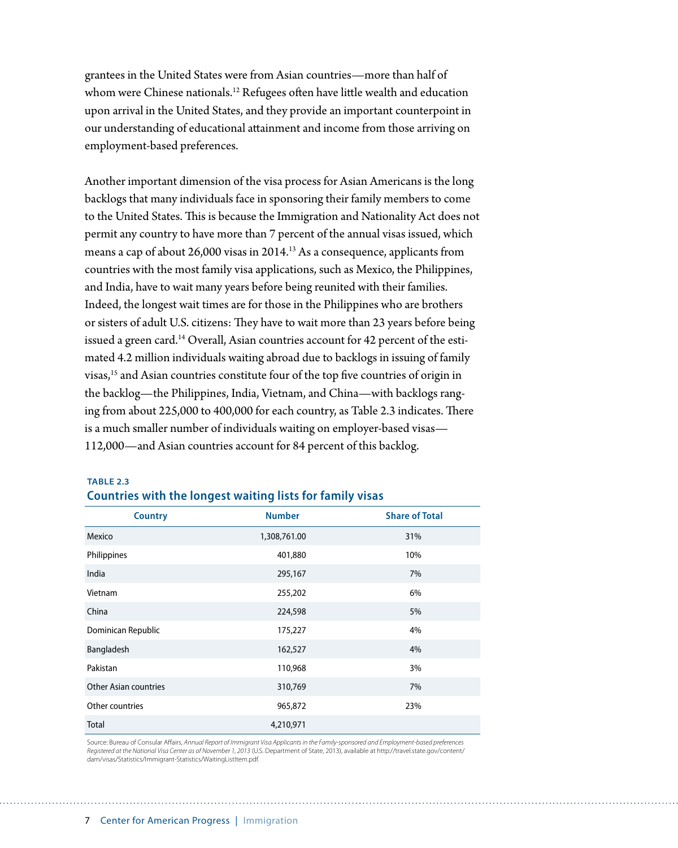grantees in the United States were from Asian countries—more than half of whom were Chinese nationals.<sup>12</sup> Refugees often have little wealth and education upon arrival in the United States, and they provide an important counterpoint in our understanding of educational attainment and income from those arriving on employment-based preferences.

Another important dimension of the visa process for Asian Americans is the long backlogs that many individuals face in sponsoring their family members to come to the United States. This is because the Immigration and Nationality Act does not permit any country to have more than 7 percent of the annual visas issued, which means a cap of about 26,000 visas in 2014.<sup>13</sup> As a consequence, applicants from countries with the most family visa applications, such as Mexico, the Philippines, and India, have to wait many years before being reunited with their families. Indeed, the longest wait times are for those in the Philippines who are brothers or sisters of adult U.S. citizens: They have to wait more than 23 years before being issued a green card.<sup>14</sup> Overall, Asian countries account for 42 percent of the estimated 4.2 million individuals waiting abroad due to backlogs in issuing of family visas,15 and Asian countries constitute four of the top five countries of origin in the backlog—the Philippines, India, Vietnam, and China—with backlogs ranging from about 225,000 to 400,000 for each country, as Table 2.3 indicates. There is a much smaller number of individuals waiting on employer-based visas— 112,000—and Asian countries account for 84 percent of this backlog.

| <b>Country</b>               | <b>Number</b> | <b>Share of Total</b> |
|------------------------------|---------------|-----------------------|
| Mexico                       | 1,308,761.00  | 31%                   |
| Philippines                  | 401,880       | 10%                   |
| India                        | 295,167       | 7%                    |
| Vietnam                      | 255,202       | 6%                    |
| China                        | 224,598       | 5%                    |
| Dominican Republic           | 175,227       | 4%                    |
| Bangladesh                   | 162,527       | 4%                    |
| Pakistan                     | 110,968       | 3%                    |
| <b>Other Asian countries</b> | 310,769       | 7%                    |
| Other countries              | 965,872       | 23%                   |
| <b>Total</b>                 | 4,210,971     |                       |

#### **TABLE 2.3 Countries with the longest waiting lists for family visas**

Source: Bureau of Consular Affairs, *Annual Report of Immigrant Visa Applicants in the Family-sponsored and Employment-based preferences Registered at the National Visa Center as of November 1, 2013* (U.S. Department of State, 2013), available at http://travel.state.gov/content/ dam/visas/Statistics/Immigrant-Statistics/WaitingListItem.pdf.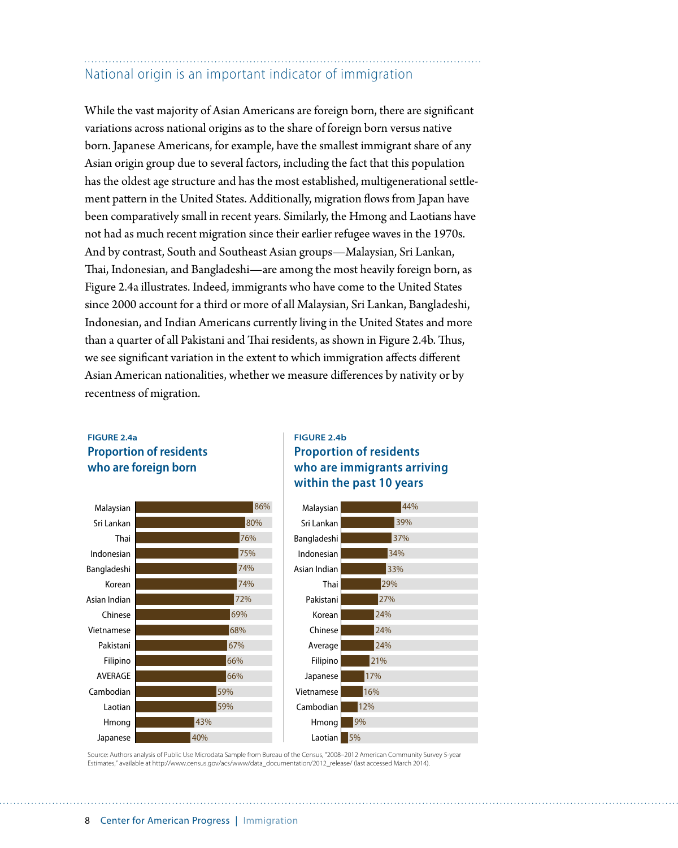## National origin is an important indicator of immigration

While the vast majority of Asian Americans are foreign born, there are significant variations across national origins as to the share of foreign born versus native born. Japanese Americans, for example, have the smallest immigrant share of any Asian origin group due to several factors, including the fact that this population has the oldest age structure and has the most established, multigenerational settlement pattern in the United States. Additionally, migration flows from Japan have been comparatively small in recent years. Similarly, the Hmong and Laotians have not had as much recent migration since their earlier refugee waves in the 1970s. And by contrast, South and Southeast Asian groups—Malaysian, Sri Lankan, Thai, Indonesian, and Bangladeshi—are among the most heavily foreign born, as Figure 2.4a illustrates. Indeed, immigrants who have come to the United States since 2000 account for a third or more of all Malaysian, Sri Lankan, Bangladeshi, Indonesian, and Indian Americans currently living in the United States and more than a quarter of all Pakistani and Thai residents, as shown in Figure 2.4b. Thus, we see significant variation in the extent to which immigration affects different Asian American nationalities, whether we measure differences by nativity or by recentness of migration.

#### **FIGURE 2.4a Proportion of residents who are foreign born**



#### **FIGURE 2.4b Proportion of residents who are immigrants arriving within the past 10 years**



Source: Authors analysis of Public Use Microdata Sample from Bureau of the Census, "2008–2012 American Community Survey 5-year Estimates," available at http://www.census.gov/acs/www/data\_documentation/2012\_release/ (last accessed March 2014).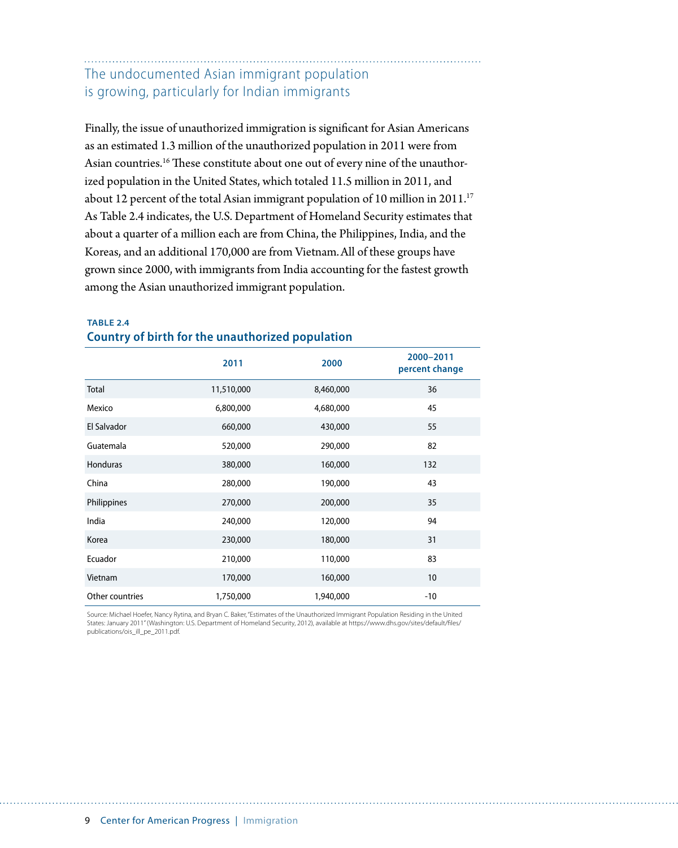### The undocumented Asian immigrant population is growing, particularly for Indian immigrants

Finally, the issue of unauthorized immigration is significant for Asian Americans as an estimated 1.3 million of the unauthorized population in 2011 were from Asian countries.<sup>16</sup> These constitute about one out of every nine of the unauthorized population in the United States, which totaled 11.5 million in 2011, and about 12 percent of the total Asian immigrant population of 10 million in 2011.<sup>17</sup> As Table 2.4 indicates, the U.S. Department of Homeland Security estimates that about a quarter of a million each are from China, the Philippines, India, and the Koreas, and an additional 170,000 are from Vietnam.All of these groups have grown since 2000, with immigrants from India accounting for the fastest growth among the Asian unauthorized immigrant population.

|                 | 2011       | 2000      | 2000-2011<br>percent change |
|-----------------|------------|-----------|-----------------------------|
| Total           | 11,510,000 | 8,460,000 | 36                          |
| Mexico          | 6,800,000  | 4,680,000 | 45                          |
| El Salvador     | 660,000    | 430,000   | 55                          |
| Guatemala       | 520,000    | 290,000   | 82                          |
| Honduras        | 380,000    | 160,000   | 132                         |
| China           | 280,000    | 190,000   | 43                          |
| Philippines     | 270,000    | 200,000   | 35                          |
| India           | 240,000    | 120,000   | 94                          |
| Korea           | 230,000    | 180,000   | 31                          |
| Ecuador         | 210,000    | 110,000   | 83                          |
| Vietnam         | 170,000    | 160,000   | 10                          |
| Other countries | 1,750,000  | 1,940,000 | -10                         |

#### **TABLE 2.4 Country of birth for the unauthorized population**

Source: Michael Hoefer, Nancy Rytina, and Bryan C. Baker, "Estimates of the Unauthorized Immigrant Population Residing in the United States: January 2011" (Washington: U.S. Department of Homeland Security, 2012), available at https://www.dhs.gov/sites/default/files/ publications/ois\_ill\_pe\_2011.pdf.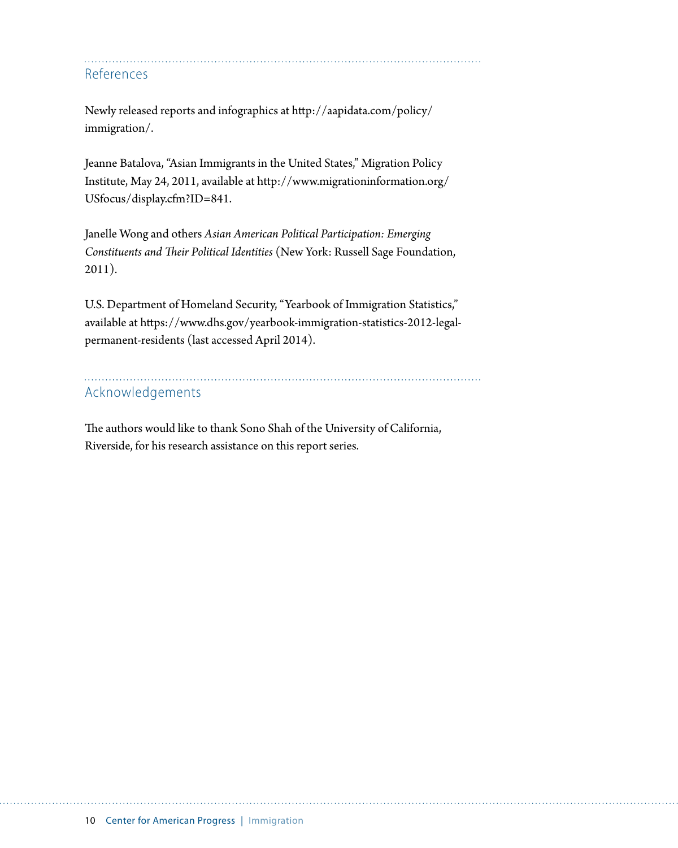References

Newly released reports and infographics at [http://aapidata.com/policy/](http://aapidata.com/policy/immigration/) [immigration/](http://aapidata.com/policy/immigration/).

Jeanne Batalova, "Asian Immigrants in the United States," Migration Policy Institute, May 24, 2011, available at [http://www.migrationinformation.org/](http://www.migrationinformation.org/USfocus/display.cfm?ID=841) [USfocus/display.cfm?ID=841.](http://www.migrationinformation.org/USfocus/display.cfm?ID=841)

Janelle Wong and others *Asian American Political Participation: Emerging Constituents and Their Political Identities* (New York: Russell Sage Foundation, 2011).

U.S. Department of Homeland Security, "Yearbook of Immigration Statistics," available at [https://www.dhs.gov/yearbook-immigration-statistics-2012-legal](https://www.dhs.gov/yearbook-immigration-statistics-2012-legal-permanent-residents)[permanent-residents](https://www.dhs.gov/yearbook-immigration-statistics-2012-legal-permanent-residents) (last accessed April 2014).

# Acknowledgements

The authors would like to thank Sono Shah of the University of California, Riverside, for his research assistance on this report series.